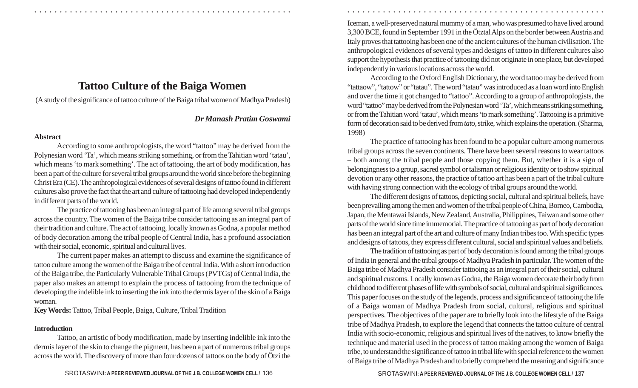# **Tattoo Culture of the Baiga Women**

(A study of the significance of tattoo culture of the Baiga tribal women of Madhya Pradesh)

## *Dr Manash Pratim Goswami*

○ ○ ○ ○ ○ ○ ○ ○ ○ ○ ○ ○ ○ ○ ○ ○ ○ ○ ○ ○ ○ ○ ○ ○ ○ ○ ○ ○ ○ ○ ○ ○ ○ ○ ○ ○ ○ ○ ○ ○ ○ ○ ○ ○ ○ ○ ○ ○ ○ ○ ○ ○ ○ ○ ○ ○ ○ ○ ○ ○ ○ ○ ○ ○ ○ ○ ○ ○ ○ ○ ○ ○ ○ ○ ○ ○ ○ ○ ○ ○ ○ ○ ○ ○ ○ ○ ○ ○ ○ ○ ○ ○ ○ ○ ○ ○ ○ ○ ○ ○ ○ ○

#### **Abstract**

According to some anthropologists, the word "tattoo" may be derived from the Polynesian word 'Ta', which means striking something, or from the Tahitian word 'tatau', which means 'to mark something'. The act of tattooing, the art of body modification, has been a part of the culture for several tribal groups around the world since before the beginning Christ Era (CE). The anthropological evidences of several designs of tattoo found in different cultures also prove the fact that the art and culture of tattooing had developed independently in different parts of the world.

The practice of tattooing has been an integral part of life among several tribal groups across the country. The women of the Baiga tribe consider tattooing as an integral part of their tradition and culture. The act of tattooing, locally known as Godna, a popular method of body decoration among the tribal people of Central India, has a profound association with their social, economic, spiritual and cultural lives.

The current paper makes an attempt to discuss and examine the significance of tattoo culture among the women of the Baiga tribe of central India. With a short introduction of the Baiga tribe, the Particularly Vulnerable Tribal Groups (PVTGs) of Central India, the paper also makes an attempt to explain the process of tattooing from the technique of developing the indelible ink to inserting the ink into the dermis layer of the skin of a Baiga woman.

**Key Words:**  Tattoo, Tribal People, Baiga, Culture, Tribal Tradition

## **Introduction**

Tattoo, an artistic of body modification, made by inserting indelible ink into the dermis layer of the skin to change the pigment, has been a part of numerous tribal groups across the world. The discovery of more than four dozens of tattoos on the body of Ötzi the

Iceman, a well-preserved natural mummy of a man, who was presumed to have lived around 3,300 BCE, found in September 1991 in the Ötztal Alps on the border between Austria and Italy proves that tattooing has been one of the ancient cultures of the human civilisation. The anthropological evidences of several types and designs of tattoo in different cultures also support the hypothesis that practice of tattooing did not originate in one place, but developed independently in various locations across the world.

According to the Oxford English Dictionary, the word tattoo may be derived from "tattaow", "tattow" or "tatau". The word "tatau" was introduced as a loan word into English and over the time it got changed to "tattoo". According to a group of anthropologists, the word "tattoo" may be derived from the Polynesian word 'Ta', which means striking something, or from the Tahitian word 'tatau', which means 'to mark something'. Tattooing is a primitive form of decoration said to be derived from *tato,* strike, which explains the operation. (Sharma, 1998)

The practice of tattooing has been found to be a popular culture among numerous tribal groups across the seven continents. There have been several reasons to wear tattoos – both among the tribal people and those copying them. But, whether it is a sign of belongingness to a group, sacred symbol or talisman or religious identity or to show spiritual devotion or any other reasons, the practice of tattoo art has been a part of the tribal culture with having strong connection with the ecology of tribal groups around the world.

The different designs of tattoos, depicting social, cultural and spiritual beliefs, have been prevailing among the men and women of the tribal people of China, Borneo, Cambodia, Japan, the Mentawai Islands, New Zealand, Australia, Philippines, Taiwan and some other parts of the world since time immemorial. The practice of tattooing as part of body decoration has been an integral part of the art and culture of many Indian tribes too. With specific types and designs of tattoos, they express different cultural, social and spiritual values and beliefs.

The tradition of tattooing as part of body decoration is found among the tribal groups of India in general and the tribal groups of Madhya Pradesh in particular. The women of the Baiga tribe of Madhya Pradesh consider tattooing as an integral part of their social, cultural and spiritual customs. Locally known as Godna, the Baiga women decorate their body from childhood to different phases of life with symbols of social, cultural and spiritual significances. This paper focuses on the study of the legends, process and significance of tattooing the life of a Baiga woman of Madhya Pradesh from social, cultural, religious and spiritual perspectives. The objectives of the paper are to briefly look into the lifestyle of the Baiga tribe of Madhya Pradesh, to explore the legend that connects the tattoo culture of central India with socio-economic, religious and spiritual lives of the natives, to know briefly the technique and material used in the process of tattoo making among the women of Baiga tribe, to understand the significance of tattoo in tribal life with special reference to the women of Baiga tribe of Madhya Pradesh and to briefly comprehend the meaning and significance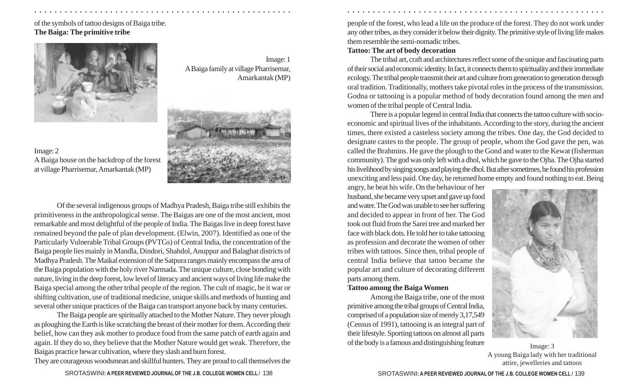## of the symbols of tattoo designs of Baiga tribe. **The Baiga: The primitive tribe**



Image: 1 A Baiga family at village Pharrisemar, Amarkantak (MP)



Image: 2 A Baiga house on the backdrop of the forest at village Pharrisemar, Amarkantak (MP)

Of the several indigenous groups of Madhya Pradesh, Baiga tribe still exhibits the primitiveness in the anthropological sense. The Baigas are one of the most ancient, most remarkable and most delightful of the people of India. The Baigas live in deep forest have remained beyond the pale of plan development. (Elwin, 2007). Identified as one of the Particularly Vulnerable Tribal Groups (PVTGs) of Central India, the concentration of the Baiga people lies mainly in Mandla, Dindori, Shahdol, Anuppur and Balaghat districts of Madhya Pradesh. The Maikal extension of the Satpura ranges mainly encompass the area of the Baiga population with the holy river Narmada. The unique culture, close bonding with nature, living in the deep forest, low level of literacy and ancient ways of living life make the Baiga special among the other tribal people of the region. The cult of magic, be it war or shifting cultivation, use of traditional medicine, unique skills and methods of hunting and several other unique practices of the Baiga can transport anyone back by many centuries.

The Baiga people are spiritually attached to the Mother Nature. They never plough as ploughing the Earth is like scratching the breast of their mother for them. According their belief, how can they ask mother to produce food from the same patch of earth again and again. If they do so, they believe that the Mother Nature would get weak. Therefore, the Baigas practice bewar cultivation, where they slash and burn forest.

They are courageous woodsmean and skillful hunters. They are proud to call themselves the

people of the forest, who lead a life on the produce of the forest. They do not work under any other tribes, as they consider it below their dignity. The primitive style of living life makes them resemble the semi-nomadic tribes.

## **Tattoo: The art of body decoration**

○ ○ ○ ○ ○ ○ ○ ○ ○ ○ ○ ○ ○ ○ ○ ○ ○ ○ ○ ○ ○ ○ ○ ○ ○ ○ ○ ○ ○ ○ ○ ○ ○ ○ ○ ○ ○ ○ ○ ○ ○ ○ ○ ○ ○ ○ ○ ○ ○ ○ ○ ○ ○ ○ ○ ○ ○ ○ ○ ○ ○ ○ ○ ○ ○ ○ ○ ○ ○ ○ ○ ○ ○ ○ ○ ○ ○ ○ ○ ○ ○ ○ ○ ○ ○ ○ ○ ○ ○ ○ ○ ○ ○ ○ ○ ○ ○ ○ ○ ○ ○ ○

The tribal art, craft and architectures reflect some of the unique and fascinating parts of their social and economic identity. In fact, it connects them to spirituality and their immediate ecology. The tribal people transmit their art and culture from generation to generation through oral tradition. Traditionally, mothers take pivotal roles in the process of the transmission. Godna or tattooing is a popular method of body decoration found among the men and women of the tribal people of Central India.

There is a popular legend in central India that connects the tattoo culture with socioeconomic and spiritual lives of the inhabitants. According to the story, during the ancient times, there existed a casteless society among the tribes. One day, the God decided to designate castes to the people. The group of people, whom the God gave the pen, was called the Brahmins. He gave the plough to the Gond and water to the Kewat (fisherman community). The god was only left with a dhol, which he gave to the Ojha. The Ojha started his livelihood by singing songs and playing the dhol. But after sometimes, he found his profession unexciting and less paid. One day, he returned home empty and found nothing to eat. Being

angry, he beat his wife. On the behaviour of her husband, she became very upset and gave up food and water. The God was unable to see her suffering and decided to appear in front of her. The God took out fluid from the Sarei tree and marked her face with black dots. He told her to take tattooing as profession and decorate the women of other tribes with tattoos. Since then, tribal people of central India believe that tattoo became the popular art and culture of decorating different parts among them.

#### **Tattoo among the Baiga Women**

Among the Baiga tribe, one of the most primitive among the tribal groups of Central India, comprised of a population size of merely 3,17,549 (Census of 1991), tattooing is an integral part of their lifestyle. Sporting tattoos on almost all parts of the body is a famous and distinguishing feature Image: 3



A young Baiga lady with her traditional attire, jewelleries and tattoos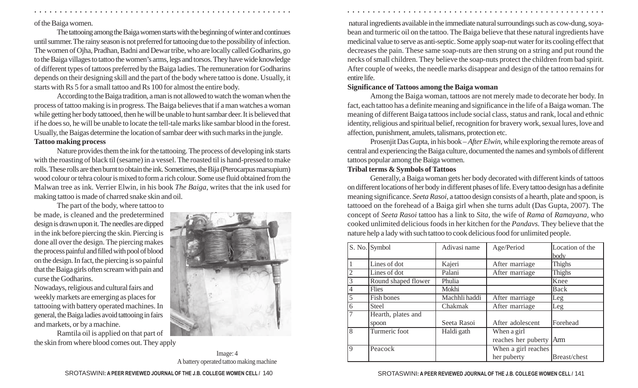#### of the Baiga women.

The tattooing among the Baiga women starts with the beginning of winter and continues until summer. The rainy season is not preferred for tattooing due to the possibility of infection. The women of Ojha, Pradhan, Badni and Dewar tribe, who are locally called Godharins, go to the Baiga villages to tattoo the women's arms, legs and torsos. They have wide knowledge of different types of tattoos preferred by the Baiga ladies. The remuneration for Godharins depends on their designing skill and the part of the body where tattoo is done. Usually, it starts with Rs 5 for a small tattoo and Rs 100 for almost the entire body.

According to the Baiga tradition, a man is not allowed to watch the woman when the process of tattoo making is in progress. The Baiga believes that if a man watches a woman while getting her body tattooed, then he will be unable to hunt sambar deer. It is believed that if he does so, he will be unable to locate the tell-tale marks like sambar blood in the forest. Usually, the Baigas determine the location of sambar deer with such marks in the jungle.

## **Tattoo making process**

Nature provides them the ink for the tattooing. The process of developing ink starts with the roasting of black til (sesame) in a vessel. The roasted til is hand-pressed to make rolls. These rolls are then burnt to obtain the ink. Sometimes, the Bija (Pterocarpus marsupium) wood colour or tehra colour is mixed to form a rich colour. Some use fluid obtained from the Malwan tree as ink. Verrier Elwin, in his book *The Baiga*, writes that the ink used for making tattoo is made of charred snake skin and oil.

The part of the body, where tattoo to be made, is cleaned and the predetermined design is drawn upon it. The needles are dipped in the ink before piercing the skin. Piercing is done all over the design. The piercing makes the process painful and filled with pool of blood on the design. In fact, the piercing is so painful that the Baiga girls often scream with pain and curse the Godharins.

Nowadays, religious and cultural fairs and weekly markets are emerging as places for tattooing with battery operated machines. In general, the Baiga ladies avoid tattooing in fairs and markets, or by a machine.

Ramtila oil is applied on that part of the skin from where blood comes out. They apply



Image: 4 A battery operated tattoo making machine

 natural ingredients available in the immediate natural surroundings such as cow-dung, soyabean and turmeric oil on the tattoo. The Baiga believe that these natural ingredients have medicinal value to serve as anti-septic. Some apply soap-nut water for its cooling effect that decreases the pain. These same soap-nuts are then strung on a string and put round the necks of small children. They believe the soap-nuts protect the children from bad spirit. After couple of weeks, the needle marks disappear and design of the tattoo remains for entire life.

## **Significance of Tattoos among the Baiga woman**

Among the Baiga woman, tattoos are not merely made to decorate her body. In fact, each tattoo has a definite meaning and significance in the life of a Baiga woman. The meaning of different Baiga tattoos include social class, status and rank, local and ethnic identity, religious and spiritual belief, recognition for bravery work, sexual lures, love and affection, punishment, amulets, talismans, protection etc.

Prosenjit Das Gupta, in his book – *After Elwin,* while exploring the remote areas of central and experiencing the Baiga culture, documented the names and symbols of different tattoos popular among the Baiga women.

## **Tribal terms & Symbols of Tattoos**

○ ○ ○ ○ ○ ○ ○ ○ ○ ○ ○ ○ ○ ○ ○ ○ ○ ○ ○ ○ ○ ○ ○ ○ ○ ○ ○ ○ ○ ○ ○ ○ ○ ○ ○ ○ ○ ○ ○ ○ ○ ○ ○ ○ ○ ○ ○ ○ ○ ○ ○ ○ ○ ○ ○ ○ ○ ○ ○ ○ ○ ○ ○ ○ ○ ○ ○ ○ ○ ○ ○ ○ ○ ○ ○ ○ ○ ○ ○ ○ ○ ○ ○ ○ ○ ○ ○ ○ ○ ○ ○ ○ ○ ○ ○ ○ ○ ○ ○ ○ ○ ○

Generally, a Baiga woman gets her body decorated with different kinds of tattoos on different locations of her body in different phases of life. Every tattoo design has a definite meaning significance. *Seeta Rasoi*, a tattoo design consists of a hearth, plate and spoon, is tattooed on the forehead of a Baiga girl when she turns adult (Das Gupta, 2007). The concept of *Seeta Rasoi* tattoo has a link to *Sita,* the wife of *Rama* of *Ramayana,* who cooked unlimited delicious foods in her kitchen for the *Pandavs.* They believe that the nature help a lady with such tattoo to cook delicious food for unlimited people.

|                | S. No. Symbol        | Adivasi name  | Age/Period                | Location of the |
|----------------|----------------------|---------------|---------------------------|-----------------|
|                |                      |               |                           | body            |
|                | Lines of dot         | Kajeri        | After marriage            | Thighs          |
| $\overline{2}$ | Lines of dot         | Palani        | After marriage            | Thighs          |
| $\overline{3}$ | Round shaped flower  | Phulia        |                           | Knee            |
| $\overline{4}$ | <b>Flies</b>         | Mokhi         |                           | Back            |
| 5              | Fish bones           | Machhli haddi | After marriage            | Leg             |
| 6              | <b>Steel</b>         | Chakmak       | After marriage            | Leg             |
| 7              | Hearth, plates and   |               |                           |                 |
|                | spoon                | Seeta Rasoi   | After adolescent          | Forehead        |
| $\overline{8}$ | <b>Turmeric</b> foot | Haldi gath    | When a girl               |                 |
|                |                      |               | reaches her puberty   Arm |                 |
| $\mathbf Q$    | Peacock              |               | When a girl reaches       |                 |
|                |                      |               | her puberty               | Breast/chest    |

#### SROTASWINI**: A PEER REVIEWED JOURNAL OF THE J.B. COLLEGE WOMEN CELL /** SROTASWINI**: A PEER REVIEWED JOURNAL OF THE J.B. COLLEGE WOMEN CELL /** 140 141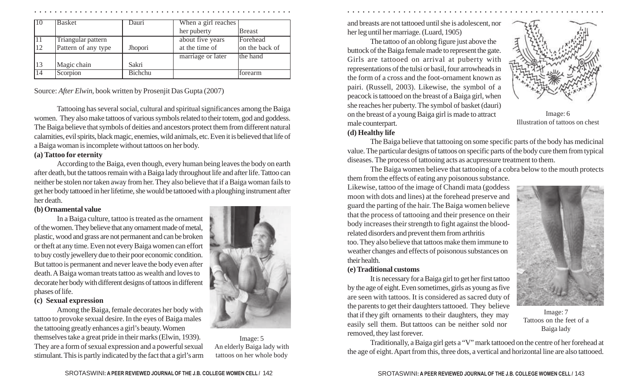| 10              | <b>Basket</b>       | Dauri          | When a girl reaches |                |
|-----------------|---------------------|----------------|---------------------|----------------|
|                 |                     |                | her puberty         | <b>Breast</b>  |
| 11              | Triangular pattern  |                | about five years    | Forehead       |
| 12              | Pattern of any type | Jhopori        | at the time of      | on the back of |
|                 |                     |                | marriage or later   | the hand       |
| 13              | Magic chain         | Sakri          |                     |                |
| $\overline{14}$ | Scorpion            | <b>Bichchu</b> |                     | torearm        |

Source: *After Elwin*, book written by Prosenjit Das Gupta (2007)

Tattooing has several social, cultural and spiritual significances among the Baiga women. They also make tattoos of various symbols related to their totem, god and goddess. The Baiga believe that symbols of deities and ancestors protect them from different natural calamities, evil spirits, black magic, enemies, wild animals, etc. Even it is believed that life of a Baiga woman is incomplete without tattoos on her body.

## **(a) Tattoo for eternity**

According to the Baiga, even though, every human being leaves the body on earth after death, but the tattoos remain with a Baiga lady throughout life and after life. Tattoo can neither be stolen nor taken away from her. They also believe that if a Baiga woman fails to get her body tattooed in her lifetime, she would be tattooed with a ploughing instrument after her death.

## **(b) Ornamental value**

In a Baiga culture, tattoo is treated as the ornament of the women. They believe that any ornament made of metal, plastic, wood and grass are not permanent and can be broken or theft at any time. Even not every Baiga women can effort to buy costly jewellery due to their poor economic condition. But tattoo is permanent and never leave the body even after death. A Baiga woman treats tattoo as wealth and loves to decorate her body with different designs of tattoos in different phases of life.

## **(c) Sexual expression**

Among the Baiga, female decorates her body with tattoo to provoke sexual desire. In the eyes of Baiga males the tattooing greatly enhances a girl's beauty. Women themselves take a great pride in their marks (Elwin, 1939). They are a form of sexual expression and a powerful sexual stimulant. This is partly indicated by the fact that a girl's arm



Image: 5 An elderly Baiga lady with tattoos on her whole body

and breasts are not tattooed until she is adolescent, nor her leg until her marriage. (Luard, 1905)

The tattoo of an oblong figure just above the buttock of the Baiga female made to represent the gate. Girls are tattooed on arrival at puberty with representations of the tulsi or basil, four arrowheads in the form of a cross and the foot-ornament known as pairi. (Russell, 2003). Likewise, the symbol of a peacock is tattooed on the breast of a Baiga girl, when she reaches her puberty. The symbol of basket (dauri) on the breast of a young Baiga girl is made to attract male counterpart.



Image: 6 Illustration of tattoos on chest

## **(d) Healthy life**

○ ○ ○ ○ ○ ○ ○ ○ ○ ○ ○ ○ ○ ○ ○ ○ ○ ○ ○ ○ ○ ○ ○ ○ ○ ○ ○ ○ ○ ○ ○ ○ ○ ○ ○ ○ ○ ○ ○ ○ ○ ○ ○ ○ ○ ○ ○ ○ ○ ○ ○ ○ ○ ○ ○ ○ ○ ○ ○ ○ ○ ○ ○ ○ ○ ○ ○ ○ ○ ○ ○ ○ ○ ○ ○ ○ ○ ○ ○ ○ ○ ○ ○ ○ ○ ○ ○ ○ ○ ○ ○ ○ ○ ○ ○ ○ ○ ○ ○ ○ ○ ○

The Baiga believe that tattooing on some specific parts of the body has medicinal value. The particular designs of tattoos on specific parts of the body cure them from typical diseases. The process of tattooing acts as acupressure treatment to them.

The Baiga women believe that tattooing of a cobra below to the mouth protects them from the effects of eating any poisonous substance.

Likewise, tattoo of the image of Chandi mata (goddess moon with dots and lines) at the forehead preserve and guard the parting of the hair. The Baiga women believe that the process of tattooing and their presence on their body increases their strength to fight against the bloodrelated disorders and prevent them from arthritis

too. They also believe that tattoos make them immune to weather changes and effects of poisonous substances on their health.

## **(e) Traditional customs**

It is necessary for a Baiga girl to get her first tattoo by the age of eight. Even sometimes, girls as young as five are seen with tattoos. It is considered as sacred duty of the parents to get their daughters tattooed. They believe that if they gift ornaments to their daughters, they may easily sell them. But tattoos can be neither sold nor removed, they last forever.



Image: 7 Tattoos on the feet of a Baiga lady

Traditionally, a Baiga girl gets a "V" mark tattooed on the centre of her forehead at the age of eight. Apart from this, three dots, a vertical and horizontal line are also tattooed.